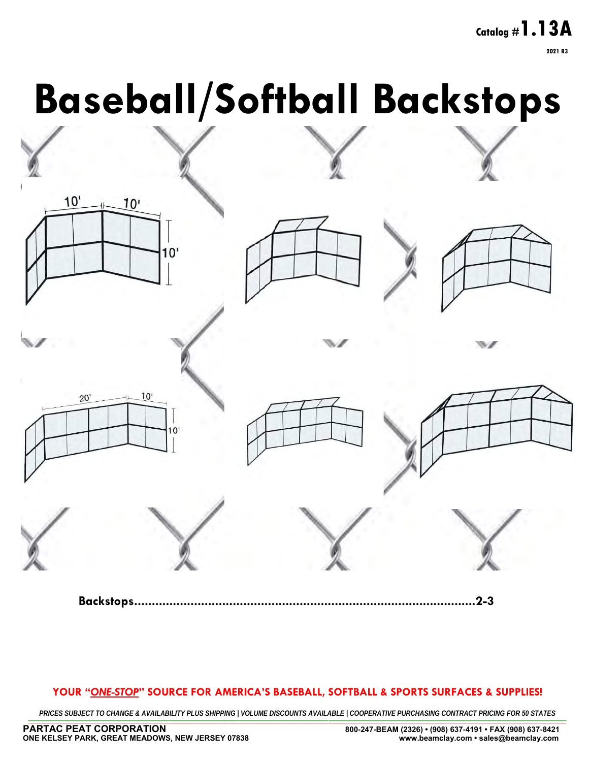**Page 1 Catalog #1.13A 2021 R3**

# **Baseball/Softball Backstops**



**Backstops.................................................................................................2-3**

#### **YOUR "***ONE-STOP***" SOURCE FOR AMERICA'S BASEBALL, SOFTBALL & SPORTS SURFACES & SUPPLIES!**

PRICES SUBJECT TO CHANGE & AVAILABILITY PLUS SHIPPING | VOLUME DISCOUNTS AVAILABLE | COOPERATIVE PURCHASING CONTRACT PRICING FOR 50 STATES \_\_\_\_\_\_\_\_\_\_\_\_\_\_\_\_\_\_\_\_\_\_\_\_\_\_\_\_\_\_\_\_\_\_\_\_\_\_\_\_\_\_\_\_\_\_\_\_\_\_\_\_\_\_\_\_\_\_\_\_\_\_\_\_\_\_\_\_\_\_\_\_\_\_\_\_\_\_\_\_\_\_\_\_\_\_\_\_\_\_\_\_\_\_\_\_\_\_\_\_\_\_\_\_\_\_\_\_\_\_\_\_\_\_\_\_\_\_\_\_\_\_\_\_\_\_\_\_\_\_\_\_\_\_\_\_\_\_\_\_\_\_\_\_\_\_\_\_\_\_\_\_\_\_\_\_\_\_\_\_\_\_\_\_\_\_\_\_\_\_\_\_\_\_\_\_\_\_\_\_\_\_\_\_\_\_\_\_\_\_\_\_\_\_\_\_\_\_\_\_\_\_\_\_\_\_\_\_\_\_\_\_\_\_\_\_\_\_\_\_\_\_\_\_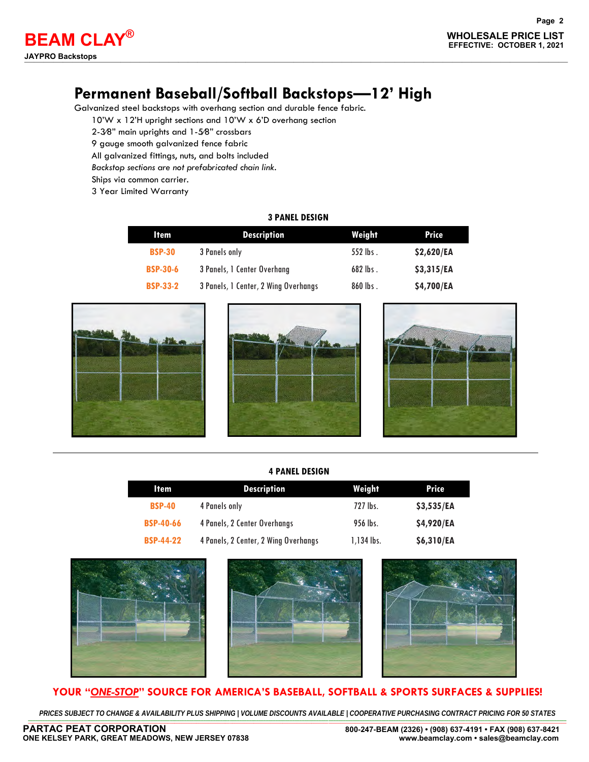## **Permanent Baseball/Softball Backstops—12' High**

Galvanized steel backstops with overhang section and durable fence fabric.

10'W x 12'H upright sections and 10'W x 6'D overhang section

- 2-3∕8" main uprights and 1-5∕8" crossbars
- 9 gauge smooth galvanized fence fabric

All galvanized fittings, nuts, and bolts included

*Backstop sections are not prefabricated chain link.* 

Ships via common carrier.

3 Year Limited Warranty

#### **3 PANEL DESIGN**

| <b>Item</b>     | <b>Description</b>                   | Weight     | Price      |
|-----------------|--------------------------------------|------------|------------|
| <b>BSP-30</b>   | 3 Panels only                        | $552$ lbs. | \$2,620/EA |
| <b>BSP-30-6</b> | 3 Panels, 1 Center Overhang          | $682$ lbs. | \$3,315/EA |
| <b>BSP-33-2</b> | 3 Panels, 1 Center, 2 Wing Overhangs | $860$ lbs. | \$4,700/EA |







#### **4 PANEL DESIGN**

| ltem             | <b>Description</b>                   | Weight       | Price      |
|------------------|--------------------------------------|--------------|------------|
| <b>BSP-40</b>    | 4 Panels only                        | 727 lbs.     | \$3,535/EA |
| <b>BSP-40-66</b> | 4 Panels, 2 Center Overhangs         | 956 lbs.     | \$4,920/EA |
| <b>BSP-44-22</b> | 4 Panels, 2 Center, 2 Wing Overhangs | $1,134$ lbs. | \$6,310/EA |







#### **YOUR "***ONE-STOP***" SOURCE FOR AMERICA'S BASEBALL, SOFTBALL & SPORTS SURFACES & SUPPLIES!**

PRICES SUBJECT TO CHANGE & AVAILABILITY PLUS SHIPPING | VOLUME DISCOUNTS AVAILABLE | COOPERATIVE PURCHASING CONTRACT PRICING FOR 50 STATES \_\_\_\_\_\_\_\_\_\_\_\_\_\_\_\_\_\_\_\_\_\_\_\_\_\_\_\_\_\_\_\_\_\_\_\_\_\_\_\_\_\_\_\_\_\_\_\_\_\_\_\_\_\_\_\_\_\_\_\_\_\_\_\_\_\_\_\_\_\_\_\_\_\_\_\_\_\_\_\_\_\_\_\_\_\_\_\_\_\_\_\_\_\_\_\_\_\_\_\_\_\_\_\_\_\_\_\_\_\_\_\_\_\_\_\_\_\_\_\_\_\_\_\_\_\_\_\_\_\_\_\_\_\_\_\_\_\_\_\_\_\_\_\_\_\_\_\_\_\_\_\_\_\_\_\_\_\_\_\_\_\_\_\_\_\_\_\_\_\_\_\_\_\_\_\_\_\_\_\_\_\_\_\_\_\_\_\_\_\_\_\_\_\_\_\_\_\_\_\_\_\_\_\_\_\_\_\_\_\_\_\_\_\_\_\_\_\_\_\_\_\_\_\_